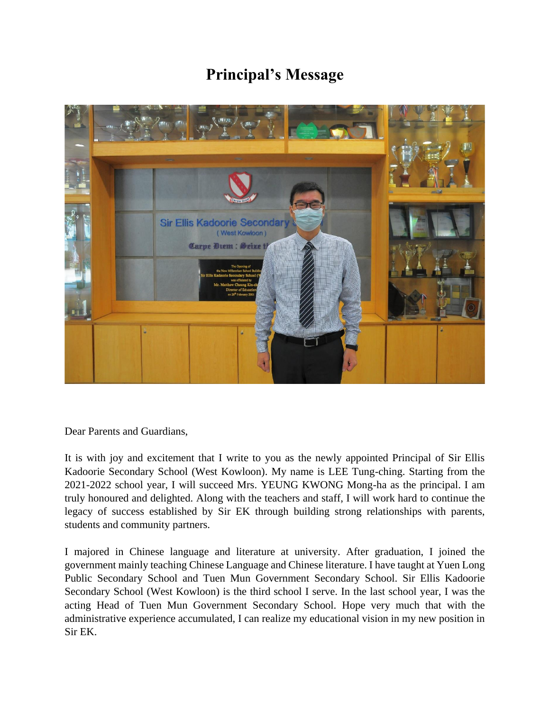## **Principal's Message**



Dear Parents and Guardians,

It is with joy and excitement that I write to you as the newly appointed Principal of Sir Ellis Kadoorie Secondary School (West Kowloon). My name is LEE Tung-ching. Starting from the 2021-2022 school year, I will succeed Mrs. YEUNG KWONG Mong-ha as the principal. I am truly honoured and delighted. Along with the teachers and staff, I will work hard to continue the legacy of success established by Sir EK through building strong relationships with parents, students and community partners.

I majored in Chinese language and literature at university. After graduation, I joined the government mainly teaching Chinese Language and Chinese literature. I have taught at Yuen Long Public Secondary School and Tuen Mun Government Secondary School. Sir Ellis Kadoorie Secondary School (West Kowloon) is the third school I serve. In the last school year, I was the acting Head of Tuen Mun Government Secondary School. Hope very much that with the administrative experience accumulated, I can realize my educational vision in my new position in Sir EK.